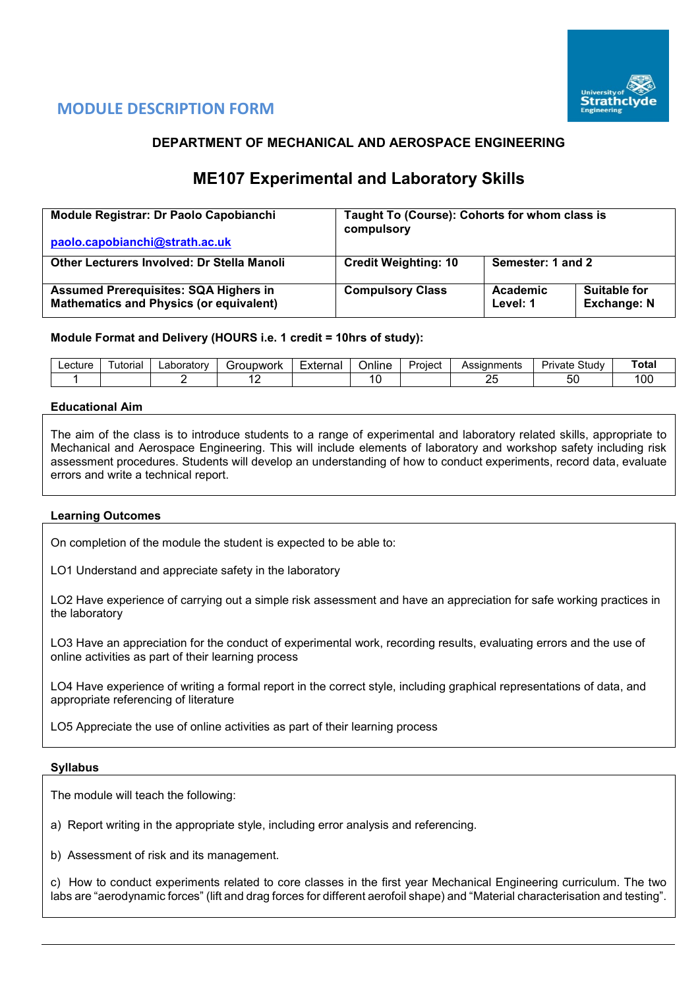

## **MODULE DESCRIPTION FORM**

## **DEPARTMENT OF MECHANICAL AND AEROSPACE ENGINEERING**

# **ME107 Experimental and Laboratory Skills**

| Module Registrar: Dr Paolo Capobianchi                                                         | Taught To (Course): Cohorts for whom class is<br>compulsory |                      |                                           |  |  |  |  |
|------------------------------------------------------------------------------------------------|-------------------------------------------------------------|----------------------|-------------------------------------------|--|--|--|--|
| paolo.capobianchi@strath.ac.uk                                                                 |                                                             |                      |                                           |  |  |  |  |
| <b>Other Lecturers Involved: Dr Stella Manoli</b>                                              | <b>Credit Weighting: 10</b>                                 | Semester: 1 and 2    |                                           |  |  |  |  |
| <b>Assumed Prerequisites: SQA Highers in</b><br><b>Mathematics and Physics (or equivalent)</b> | <b>Compulsory Class</b>                                     | Academic<br>Level: 1 | <b>Suitable for</b><br><b>Exchange: N</b> |  |  |  |  |

#### **Module Format and Delivery (HOURS i.e. 1 credit = 10hrs of study):**

| ∟ecture | utorial | ∟aboratorv | iunwork<br>`r∩i. | External<br>i idi | <br>Online | Project | <b>\ssianments</b><br>৲ত⇔ | Study<br>Private | Total |
|---------|---------|------------|------------------|-------------------|------------|---------|---------------------------|------------------|-------|
|         |         |            |                  |                   |            |         | $\sim$ $\sim$<br>--       | - -<br>ວເ        | 00    |

#### **Educational Aim**

The aim of the class is to introduce students to a range of experimental and laboratory related skills, appropriate to Mechanical and Aerospace Engineering. This will include elements of laboratory and workshop safety including risk assessment procedures. Students will develop an understanding of how to conduct experiments, record data, evaluate errors and write a technical report.

#### **Learning Outcomes**

On completion of the module the student is expected to be able to:

LO1 Understand and appreciate safety in the laboratory

LO2 Have experience of carrying out a simple risk assessment and have an appreciation for safe working practices in the laboratory

LO3 Have an appreciation for the conduct of experimental work, recording results, evaluating errors and the use of online activities as part of their learning process

LO4 Have experience of writing a formal report in the correct style, including graphical representations of data, and appropriate referencing of literature

LO5 Appreciate the use of online activities as part of their learning process

#### **Syllabus**

The module will teach the following:

a) Report writing in the appropriate style, including error analysis and referencing.

b) Assessment of risk and its management.

c) How to conduct experiments related to core classes in the first year Mechanical Engineering curriculum. The two labs are "aerodynamic forces" (lift and drag forces for different aerofoil shape) and "Material characterisation and testing".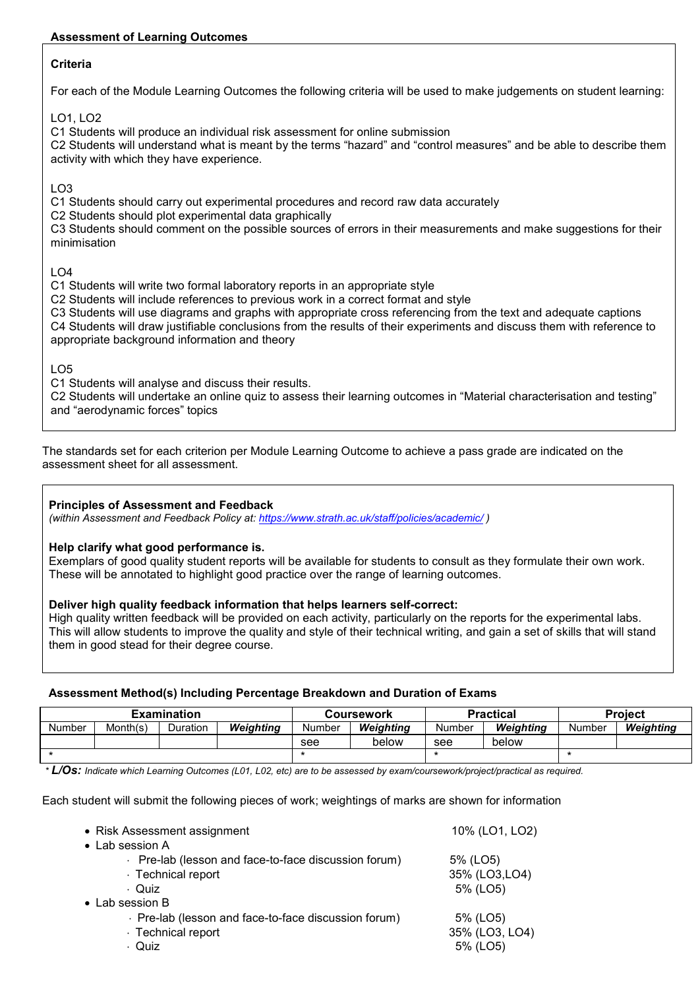### **Assessment of Learning Outcomes**

### **Criteria**

For each of the Module Learning Outcomes the following criteria will be used to make judgements on student learning:

LO1, LO2

C1 Students will produce an individual risk assessment for online submission

C2 Students will understand what is meant by the terms "hazard" and "control measures" and be able to describe them activity with which they have experience.

## LO3

C1 Students should carry out experimental procedures and record raw data accurately

C2 Students should plot experimental data graphically

C3 Students should comment on the possible sources of errors in their measurements and make suggestions for their minimisation

LO4

C1 Students will write two formal laboratory reports in an appropriate style

C2 Students will include references to previous work in a correct format and style

C3 Students will use diagrams and graphs with appropriate cross referencing from the text and adequate captions C4 Students will draw justifiable conclusions from the results of their experiments and discuss them with reference to appropriate background information and theory

## $LO<sub>5</sub>$

C1 Students will analyse and discuss their results.

C2 Students will undertake an online quiz to assess their learning outcomes in "Material characterisation and testing" and "aerodynamic forces" topics

The standards set for each criterion per Module Learning Outcome to achieve a pass grade are indicated on the assessment sheet for all assessment.

#### **Principles of Assessment and Feedback**

*(within Assessment and Feedback Policy at: <https://www.strath.ac.uk/staff/policies/academic/> )*

#### **Help clarify what good performance is.**

Exemplars of good quality student reports will be available for students to consult as they formulate their own work. These will be annotated to highlight good practice over the range of learning outcomes.

#### **Deliver high quality feedback information that helps learners self-correct:**

High quality written feedback will be provided on each activity, particularly on the reports for the experimental labs. This will allow students to improve the quality and style of their technical writing, and gain a set of skills that will stand them in good stead for their degree course.

#### **Assessment Method(s) Including Percentage Breakdown and Duration of Exams**

| <b>Examination</b> |          |          |           |        | <b>Coursework</b> |        | <b>Practical</b> | <b>Project</b> |           |  |
|--------------------|----------|----------|-----------|--------|-------------------|--------|------------------|----------------|-----------|--|
| <b>Number</b>      | Month(s) | Duration | Weiahtina | Number | Weiahtina         | Number | Weiahtina        | Number         | Weiahtina |  |
|                    |          |          |           | see    | below             | see    | below            |                |           |  |
|                    |          |          |           |        |                   |        |                  |                |           |  |

*\* L/Os: Indicate which Learning Outcomes (L01, L02, etc) are to be assessed by exam/coursework/project/practical as required.*

Each student will submit the following pieces of work; weightings of marks are shown for information

| • Risk Assessment assignment                       | 10% (LO1, LO2) |
|----------------------------------------------------|----------------|
| • Lab session A                                    |                |
| Pre-lab (lesson and face-to-face discussion forum) | 5% (LO5)       |
| · Technical report                                 | 35% (LO3,LO4)  |
| · Quiz                                             | 5% (LO5)       |
| $\bullet$ Lab session B                            |                |
| Pre-lab (lesson and face-to-face discussion forum) | 5% (LO5)       |
| · Technical report                                 | 35% (LO3, LO4) |
| · Quiz                                             | 5% (LO5)       |
|                                                    |                |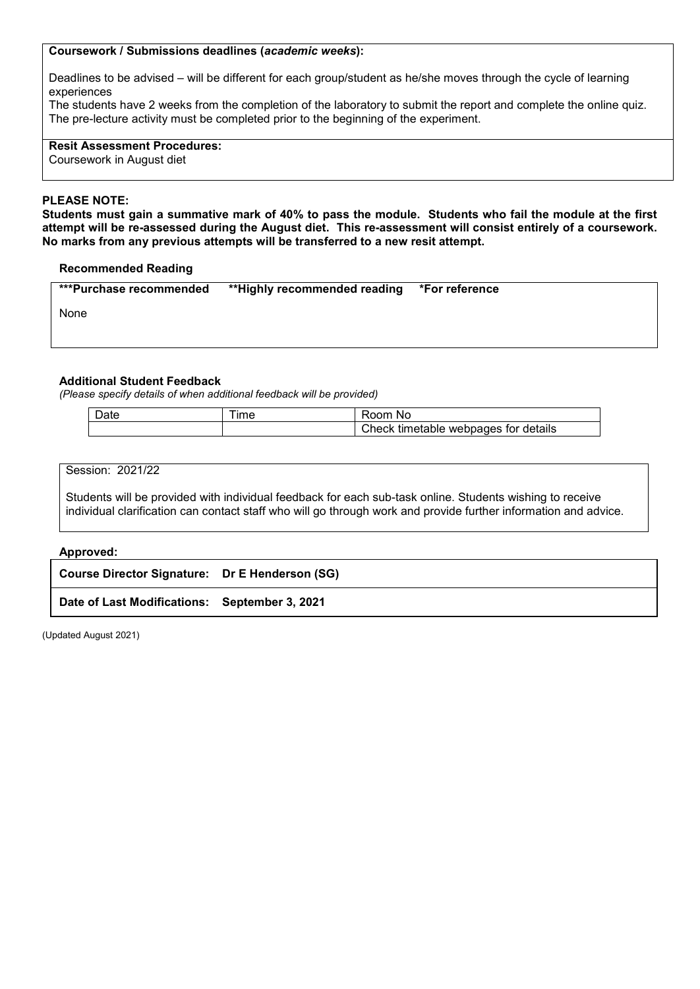#### **Coursework / Submissions deadlines (***academic weeks***):**

Deadlines to be advised – will be different for each group/student as he/she moves through the cycle of learning experiences

The students have 2 weeks from the completion of the laboratory to submit the report and complete the online quiz. The pre-lecture activity must be completed prior to the beginning of the experiment.

**Resit Assessment Procedures:** Coursework in August diet

#### **PLEASE NOTE:**

**Students must gain a summative mark of 40% to pass the module. Students who fail the module at the first attempt will be re-assessed during the August diet. This re-assessment will consist entirely of a coursework. No marks from any previous attempts will be transferred to a new resit attempt.**

#### **Recommended Reading**

| ***Purchase recommended | **Highly recommended reading | *For reference |
|-------------------------|------------------------------|----------------|
| None                    |                              |                |
|                         |                              |                |

#### **Additional Student Feedback**

*(Please specify details of when additional feedback will be provided)*

| $\sim$ | 'Nı<br>н                                                   |
|--------|------------------------------------------------------------|
|        | ages<br>details<br>tor<br>tım<br>:heck<br>weppa<br>neranie |

| Session: 2021/22                                                                                                                                                                                                            |  |  |  |  |  |  |  |  |  |  |
|-----------------------------------------------------------------------------------------------------------------------------------------------------------------------------------------------------------------------------|--|--|--|--|--|--|--|--|--|--|
| Students will be provided with individual feedback for each sub-task online. Students wishing to receive<br>individual clarification can contact staff who will go through work and provide further information and advice. |  |  |  |  |  |  |  |  |  |  |
| Approved:                                                                                                                                                                                                                   |  |  |  |  |  |  |  |  |  |  |
| Course Director Signature: Dr E Henderson (SG)                                                                                                                                                                              |  |  |  |  |  |  |  |  |  |  |
| Date of Last Modifications: September 3, 2021                                                                                                                                                                               |  |  |  |  |  |  |  |  |  |  |

(Updated August 2021)